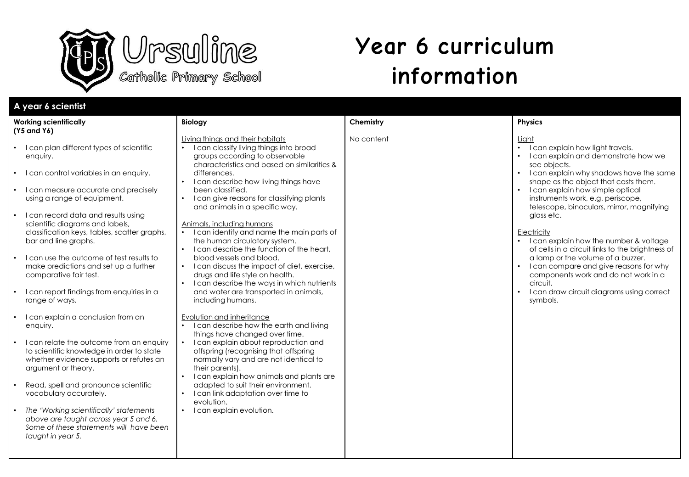

# **Year 6 curriculum information**

| A year 6 scientist                                                                                                                                                                                                                                                                                                                                                                                                                                                                                                                                                                                                                                                                                                                                                                                                                                                                                                                                      |                                                                                                                                                                                                                                                                                                                                                                                                                                                                                                                                                                                                                                                                                                                                                                                                                                                                                                                                                                                                                                                                                                                                                                      |            |                                                                                                                                                                                                                                                                                                                                                                                                                                                                                                                                                                                                                                                |
|---------------------------------------------------------------------------------------------------------------------------------------------------------------------------------------------------------------------------------------------------------------------------------------------------------------------------------------------------------------------------------------------------------------------------------------------------------------------------------------------------------------------------------------------------------------------------------------------------------------------------------------------------------------------------------------------------------------------------------------------------------------------------------------------------------------------------------------------------------------------------------------------------------------------------------------------------------|----------------------------------------------------------------------------------------------------------------------------------------------------------------------------------------------------------------------------------------------------------------------------------------------------------------------------------------------------------------------------------------------------------------------------------------------------------------------------------------------------------------------------------------------------------------------------------------------------------------------------------------------------------------------------------------------------------------------------------------------------------------------------------------------------------------------------------------------------------------------------------------------------------------------------------------------------------------------------------------------------------------------------------------------------------------------------------------------------------------------------------------------------------------------|------------|------------------------------------------------------------------------------------------------------------------------------------------------------------------------------------------------------------------------------------------------------------------------------------------------------------------------------------------------------------------------------------------------------------------------------------------------------------------------------------------------------------------------------------------------------------------------------------------------------------------------------------------------|
| <b>Working scientifically</b>                                                                                                                                                                                                                                                                                                                                                                                                                                                                                                                                                                                                                                                                                                                                                                                                                                                                                                                           | <b>Biology</b>                                                                                                                                                                                                                                                                                                                                                                                                                                                                                                                                                                                                                                                                                                                                                                                                                                                                                                                                                                                                                                                                                                                                                       | Chemistry  | <b>Physics</b>                                                                                                                                                                                                                                                                                                                                                                                                                                                                                                                                                                                                                                 |
| (Y5 and Y6)<br>I can plan different types of scientific<br>enquiry.<br>I can control variables in an enquiry.<br>I can measure accurate and precisely<br>using a range of equipment.<br>I can record data and results using<br>scientific diagrams and labels,<br>classification keys, tables, scatter graphs,<br>bar and line graphs.<br>I can use the outcome of test results to<br>make predictions and set up a further<br>comparative fair test.<br>I can report findings from enquiries in a<br>range of ways.<br>I can explain a conclusion from an<br>enquiry.<br>I can relate the outcome from an enquiry<br>to scientific knowledge in order to state<br>whether evidence supports or refutes an<br>argument or theory.<br>Read, spell and pronounce scientific<br>vocabulary accurately.<br>The 'Working scientifically' statements<br>above are taught across year 5 and 6.<br>Some of these statements will have been<br>taught in year 5. | Living things and their habitats<br>I can classify living things into broad<br>$\bullet$<br>groups according to observable<br>characteristics and based on similarities &<br>differences.<br>I can describe how living things have<br>been classified.<br>I can give reasons for classifying plants<br>and animals in a specific way.<br>Animals, including humans<br>• I can identify and name the main parts of<br>the human circulatory system.<br>• I can describe the function of the heart,<br>blood vessels and blood.<br>I can discuss the impact of diet, exercise,<br>drugs and life style on health.<br>I can describe the ways in which nutrients<br>and water are transported in animals,<br>including humans.<br>Evolution and inheritance<br>• I can describe how the earth and living<br>things have changed over time.<br>I can explain about reproduction and<br>offspring (recognising that offspring<br>normally vary and are not identical to<br>their parents).<br>I can explain how animals and plants are<br>adapted to suit their environment.<br>I can link adaptation over time to<br>$\bullet$<br>evolution.<br>I can explain evolution. | No content | Liaht<br>I can explain how light travels.<br>$\bullet$<br>I can explain and demonstrate how we<br>see objects.<br>I can explain why shadows have the same<br>shape as the object that casts them.<br>I can explain how simple optical<br>instruments work, e.g. periscope,<br>telescope, binoculars, mirror, magnifying<br>glass etc.<br>Electricity<br>I can explain how the number & voltage<br>of cells in a circuit links to the brightness of<br>a lamp or the volume of a buzzer.<br>I can compare and give reasons for why<br>components work and do not work in a<br>circuit.<br>I can draw circuit diagrams using correct<br>symbols. |
|                                                                                                                                                                                                                                                                                                                                                                                                                                                                                                                                                                                                                                                                                                                                                                                                                                                                                                                                                         |                                                                                                                                                                                                                                                                                                                                                                                                                                                                                                                                                                                                                                                                                                                                                                                                                                                                                                                                                                                                                                                                                                                                                                      |            |                                                                                                                                                                                                                                                                                                                                                                                                                                                                                                                                                                                                                                                |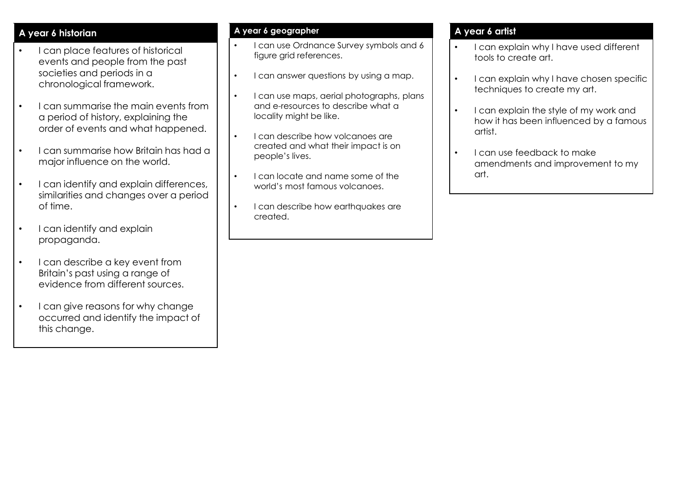## **A year 6 historian**

- I can place features of historical events and people from the past societies and periods in a chronological framework.
- I can summarise the main events from a period of history, explaining the order of events and what happened.
- I can summarise how Britain has had a major influence on the world.
- I can identify and explain differences, similarities and changes over a period of time.
- I can identify and explain propaganda.
- I can describe a key event from Britain's past using a range of evidence from different sources.
- I can give reasons for why change occurred and identify the impact of this change.

#### **A year 6 geographer**

- I can use Ordnance Survey symbols and 6 figure grid references.
- I can answer questions by using a map.
- I can use maps, aerial photographs, plans and e-resources to describe what a locality might be like.
- I can describe how volcanoes are created and what their impact is on people's lives.
- I can locate and name some of the world's most famous volcanoes.
- I can describe how earthquakes are created.

### **A year 6 artist**

- I can explain why I have used different tools to create art.
- I can explain why I have chosen specific techniques to create my art.
- I can explain the style of my work and how it has been influenced by a famous artist.
- I can use feedback to make amendments and improvement to my art.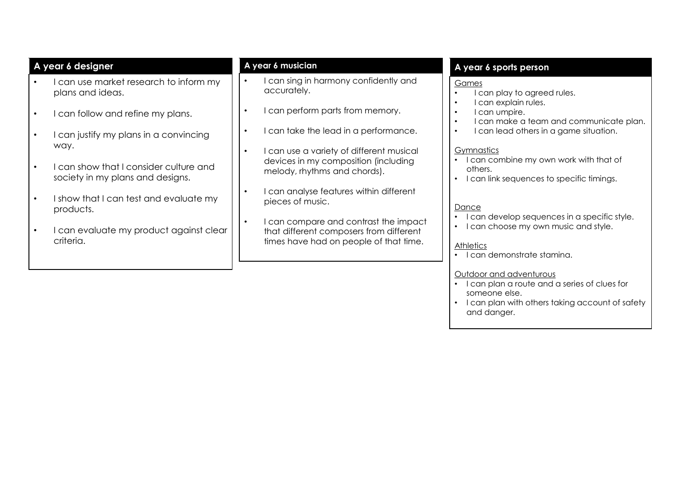| A year 6 designer                                                                     | A year 6 musician                                                                           | A year 6 sports person                                                                                                  |
|---------------------------------------------------------------------------------------|---------------------------------------------------------------------------------------------|-------------------------------------------------------------------------------------------------------------------------|
| can use market research to inform my<br>plans and ideas.                              | I can sing in harmony confidently and<br>$\bullet$<br>accurately.                           | Games<br>I can play to agreed rules.<br>$\bullet$                                                                       |
| I can follow and refine my plans.<br>$\bullet$                                        | I can perform parts from memory.<br>$\bullet$                                               | I can explain rules.<br>$\bullet$<br>I can umpire.<br>$\bullet$<br>I can make a team and communicate plan.<br>$\bullet$ |
| I can justify my plans in a convincing<br>$\bullet$                                   | I can take the lead in a performance.<br>$\bullet$                                          | I can lead others in a game situation.<br>$\bullet$                                                                     |
| way.                                                                                  | I can use a variety of different musical<br>$\bullet$                                       | <b>Gymnastics</b><br>I can combine my own work with that of                                                             |
| can show that I consider culture and<br>$\bullet$<br>society in my plans and designs. | devices in my composition (including<br>melody, rhythms and chords).                        | others.<br>I can link sequences to specific timings.                                                                    |
| I show that I can test and evaluate my<br>$\bullet$<br>products.                      | can analyse features within different<br>$\bullet$<br>pieces of music.                      | Dance                                                                                                                   |
| I can evaluate my product against clear<br>$\bullet$                                  | can compare and contrast the impact<br>$\bullet$<br>that different composers from different | I can develop sequences in a specific style.<br>I can choose my own music and style.<br>$\bullet$                       |
| criteria.                                                                             | times have had on people of that time.                                                      | <b>Athletics</b><br>I can demonstrate stamina.                                                                          |
|                                                                                       |                                                                                             | Outdoor and adventurous                                                                                                 |
|                                                                                       |                                                                                             | I can plan a route and a series of clues for<br>someone else.                                                           |
|                                                                                       |                                                                                             | I can plan with others taking account of safety<br>and danger.                                                          |